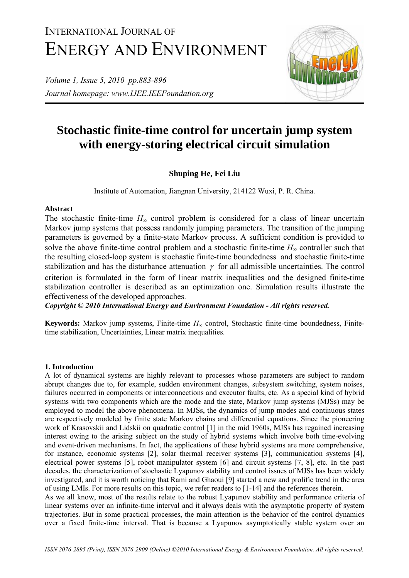# INTERNATIONAL JOURNAL OF ENERGY AND ENVIRONMENT

*Volume 1, Issue 5, 2010 pp.883-896 Journal homepage: www.IJEE.IEEFoundation.org* 



## **Stochastic finite-time control for uncertain jump system with energy-storing electrical circuit simulation**

### **Shuping He, Fei Liu**

Institute of Automation, Jiangnan University, 214122 Wuxi, P. R. China.

#### **Abstract**

The stochastic finite-time  $H_{\infty}$  control problem is considered for a class of linear uncertain Markov jump systems that possess randomly jumping parameters. The transition of the jumping parameters is governed by a finite-state Markov process. A sufficient condition is provided to solve the above finite-time control problem and a stochastic finite-time  $H_{\infty}$  controller such that the resulting closed-loop system is stochastic finite-time boundedness and stochastic finite-time stabilization and has the disturbance attenuation  $\gamma$  for all admissible uncertainties. The control criterion is formulated in the form of linear matrix inequalities and the designed finite-time stabilization controller is described as an optimization one. Simulation results illustrate the effectiveness of the developed approaches.

*Copyright © 2010 International Energy and Environment Foundation - All rights reserved.*

**Keywords:** Markov jump systems, Finite-time *H*∞ control, Stochastic finite-time boundedness, Finitetime stabilization, Uncertainties, Linear matrix inequalities.

#### **1. Introduction**

A lot of dynamical systems are highly relevant to processes whose parameters are subject to random abrupt changes due to, for example, sudden environment changes, subsystem switching, system noises, failures occurred in components or interconnections and executor faults, etc. As a special kind of hybrid systems with two components which are the mode and the state, Markov jump systems (MJSs) may be employed to model the above phenomena. In MJSs, the dynamics of jump modes and continuous states are respectively modeled by finite state Markov chains and differential equations. Since the pioneering work of Krasovskii and Lidskii on quadratic control [1] in the mid 1960s, MJSs has regained increasing interest owing to the arising subject on the study of hybrid systems which involve both time-evolving and event-driven mechanisms. In fact, the applications of these hybrid systems are more comprehensive, for instance, economic systems [2], solar thermal receiver systems [3], communication systems [4], electrical power systems [5], robot manipulator system [6] and circuit systems [7, 8], etc. In the past decades, the characterization of stochastic Lyapunov stability and control issues of MJSs has been widely investigated, and it is worth noticing that Rami and Ghaoui [9] started a new and prolific trend in the area of using LMIs. For more results on this topic, we refer readers to [1-14] and the references therein.

As we all know, most of the results relate to the robust Lyapunov stability and performance criteria of linear systems over an infinite-time interval and it always deals with the asymptotic property of system trajectories. But in some practical processes, the main attention is the behavior of the control dynamics over a fixed finite-time interval. That is because a Lyapunov asymptotically stable system over an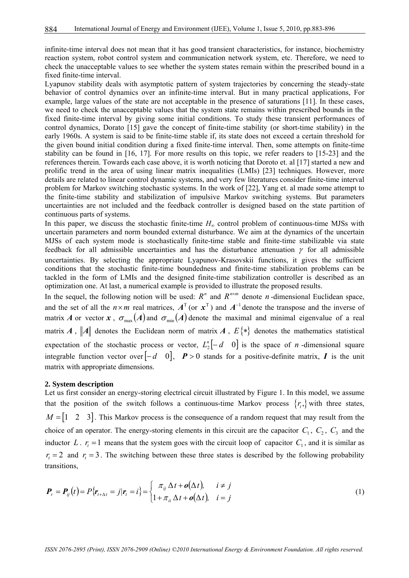infinite-time interval does not mean that it has good transient characteristics, for instance, biochemistry reaction system, robot control system and communication network system, etc. Therefore, we need to check the unacceptable values to see whether the system states remain within the prescribed bound in a fixed finite-time interval.

Lyapunov stability deals with asymptotic pattern of system trajectories by concerning the steady-state behavior of control dynamics over an infinite-time interval. But in many practical applications, For example, large values of the state are not acceptable in the presence of saturations [11]. In these cases, we need to check the unacceptable values that the system state remains within prescribed bounds in the fixed finite-time interval by giving some initial conditions. To study these transient performances of control dynamics, Dorato [15] gave the concept of finite-time stability (or short-time stability) in the early 1960s. A system is said to be finite-time stable if, its state does not exceed a certain threshold for the given bound initial condition during a fixed finite-time interval. Then, some attempts on finite-time stability can be found in [16, 17]. For more results on this topic, we refer readers to [15-23] and the references therein. Towards each case above, it is worth noticing that Doroto et. al [17] started a new and prolific trend in the area of using linear matrix inequalities (LMIs) [23] techniques. However, more details are related to linear control dynamic systems, and very few literatures consider finite-time interval problem for Markov switching stochastic systems. In the work of [22], Yang et. al made some attempt to the finite-time stability and stabilization of impulsive Markov switching systems. But parameters uncertainties are not included and the feedback controller is designed based on the state partition of continuous parts of systems.

In this paper, we discuss the stochastic finite-time *H*∞ control problem of continuous-time MJSs with uncertain parameters and norm bounded external disturbance. We aim at the dynamics of the uncertain MJSs of each system mode is stochastically finite-time stable and finite-time stabilizable via state feedback for all admissible uncertainties and has the disturbance attenuation  $\gamma$  for all admissible uncertainties. By selecting the appropriate Lyapunov-Krasovskii functions, it gives the sufficient conditions that the stochastic finite-time boundedness and finite-time stabilization problems can be tackled in the form of LMIs and the designed finite-time stabilization controller is described as an optimization one. At last, a numerical example is provided to illustrate the proposed results.

In the sequel, the following notion will be used:  $R^n$  and  $R^{n \times m}$  denote *n*-dimensional Euclidean space, and the set of all the  $n \times m$  real matrices,  $A^T$  (or  $x^T$ ) and  $A^{-1}$  denote the transpose and the inverse of matrix *A* or vector *x*,  $\sigma_{\text{max}}(A)$  and  $\sigma_{\text{min}}(A)$  denote the maximal and minimal eigenvalue of a real matrix *A*,  $\|\textbf{A}\|$  denotes the Euclidean norm of matrix *A*,  $E\{\text{*}\}\$  denotes the mathematics statistical expectation of the stochastic process or vector,  $L_2^n[-d \ 0]$  is the space of *n* -dimensional square integrable function vector over  $\begin{bmatrix} -d & 0 \end{bmatrix}$ ,  $P > 0$  stands for a positive-definite matrix, *I* is the unit matrix with appropriate dimensions.

#### **2. System description**

Let us first consider an energy-storing electrical circuit illustrated by Figure 1. In this model, we assume that the position of the switch follows a continuous-time Markov process  $\{r_{i},\}$  with three states,  $M = \begin{bmatrix} 1 & 2 & 3 \end{bmatrix}$ . This Markov process is the consequence of a random request that may result from the choice of an operator. The energy-storing elements in this circuit are the capacitor  $C_1$ ,  $C_2$ ,  $C_3$  and the inductor *L* .  $r_t = 1$  means that the system goes with the circuit loop of capacitor  $C_1$ , and it is similar as  $r<sub>t</sub> = 2$  and  $r<sub>t</sub> = 3$ . The switching between these three states is described by the following probability transitions,

$$
\boldsymbol{P}_r = \boldsymbol{P}_{ij}(t) = P\{\boldsymbol{r}_{t+\Delta t} = j | \boldsymbol{r}_t = i\} = \begin{cases} \pi_{ij} \Delta t + \boldsymbol{o}(\Delta t), & i \neq j \\ 1 + \pi_{ii} \Delta t + \boldsymbol{o}(\Delta t), & i = j \end{cases}
$$
(1)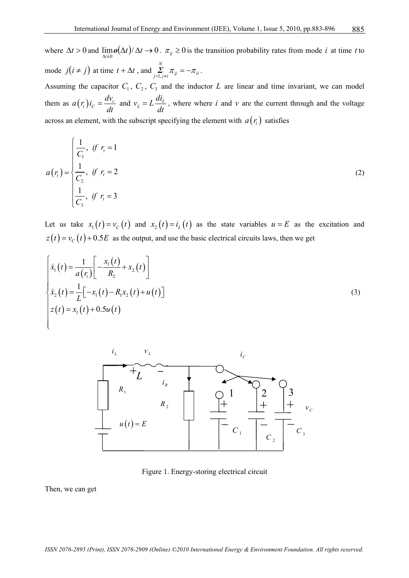where  $\Delta t > 0$  and  $\lim_{\Delta t \to 0} o(\Delta t) / \Delta t \to 0$ .  $\pi_{ij} \ge 0$  is the transition probability rates from mode *i* at time *t* to mode  $j(i \neq j)$  at time  $t + \Delta t$ , and  $\sum_{i=1}^{N} \pi_{ij} = -\pi_{ii}$  $\sum_{j=1, j\neq i} \pi_{ij} = -\pi_{ii}.$ 

Assuming the capacitor  $C_1$ ,  $C_2$ ,  $C_3$  and the inductor  $L$  are linear and time invariant, we can model them as  $a(r_i) i_c = \frac{dv_c}{dt}$  and  $v_L = L \frac{di_L}{dt}$ , where where *i* and *v* are the current through and the voltage across an element, with the subscript specifying the element with  $a(r_t)$  satisfies

$$
a(r_{i}) = \begin{cases} \frac{1}{C_{1}}, & \text{if } r_{i} = 1\\ \frac{1}{C_{2}}, & \text{if } r_{i} = 2\\ \frac{1}{C_{3}}, & \text{if } r_{i} = 3 \end{cases}
$$
 (2)

Let us take  $x_1(t) = v_c(t)$  and  $x_2(t) = i_t(t)$  as the state variables  $u = E$  as the excitation and  $z(t) = v_c(t) + 0.5E$  as the output, and use the basic electrical circuits laws, then we get

$$
\begin{cases}\n\dot{x}_1(t) = \frac{1}{a(r_t)} \left[ -\frac{x_1(t)}{R_2} + x_2(t) \right] \\
\dot{x}_2(t) = \frac{1}{L} \left[ -x_1(t) - R_1 x_2(t) + u(t) \right] \\
z(t) = x_1(t) + 0.5u(t)\n\end{cases}
$$
\n(3)



Figure 1. Energy-storing electrical circuit

Then, we can get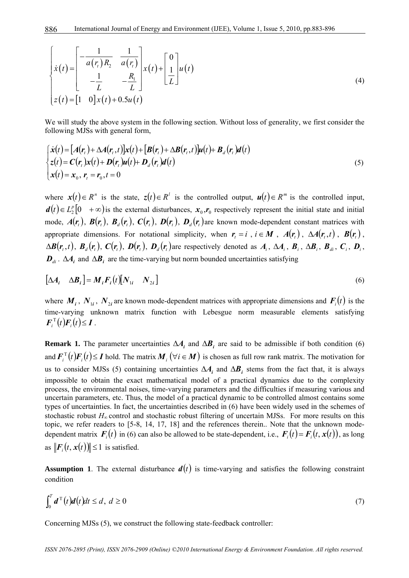$$
\begin{cases}\n\dot{x}(t) = \begin{bmatrix}\n-\frac{1}{a(r_t)R_2} & \frac{1}{a(r_t)} \\
-\frac{1}{L} & -\frac{R_1}{L}\n\end{bmatrix} x(t) + \begin{bmatrix} 0 \\
\frac{1}{L} \end{bmatrix} u(t) \\
z(t) = \begin{bmatrix} 1 & 0 \end{bmatrix} x(t) + 0.5u(t)\n\end{cases}
$$
\n(4)

We will study the above system in the following section. Without loss of generality, we first consider the following MJSs with general form,

$$
\begin{cases}\n\dot{\mathbf{x}}(t) = \left[A(\mathbf{r}_t) + \Delta A(\mathbf{r}_t, t)\right] \mathbf{x}(t) + \left[\mathbf{B}(\mathbf{r}_t) + \Delta \mathbf{B}(\mathbf{r}_t, t)\right] \mathbf{u}(t) + \mathbf{B}_d(\mathbf{r}_t) \mathbf{d}(t) \\
z(t) = \mathbf{C}(\mathbf{r}_t) \mathbf{x}(t) + \mathbf{D}(\mathbf{r}_t) \mathbf{u}(t) + \mathbf{D}_d(\mathbf{r}_t) \mathbf{d}(t) \\
\mathbf{x}(t) = \mathbf{x}_0, \ \mathbf{r}_t = \mathbf{r}_0, t = 0\n\end{cases}
$$
\n(5)

where  $\mathbf{x}(t) \in R^n$  is the state,  $\mathbf{z}(t) \in R^l$  is the controlled output,  $\mathbf{u}(t) \in R^m$  is the controlled input,  $d(t) \in L_2^p[0 + \infty)$  is the external disturbances,  $x_0, r_0$  respectively represent the initial state and initial mode,  $A(r_i)$ ,  $B(r_i)$ ,  $B_a(r_i)$ ,  $C(r_i)$ ,  $D(r_i)$ ,  $D_a(r_i)$  are known mode-dependent constant matrices with appropriate dimensions. For notational simplicity, when  $r_t = i$ ,  $i \in M$ ,  $A(r_t)$ ,  $\Delta A(r_t, t)$ ,  $B(r_t)$ ,  $\Delta B(r_t,t)$ ,  $B_d(r_t)$ ,  $C(r_t)$ ,  $D(r_t)$ ,  $D_d(r_t)$  are respectively denoted as  $A_i$ ,  $\Delta A_i$ ,  $B_i$ ,  $\Delta B_i$ ,  $B_d$ ,  $C_i$ ,  $D_i$ ,  $D_{di}$ . ∆*A<sub>i</sub>* and ∆ $B_i$  are the time-varying but norm bounded uncertainties satisfying

$$
\left[\Delta A_i \quad \Delta B_i\right] = M_i F_i(t) \left[N_{1i} \quad N_{2i}\right] \tag{6}
$$

where  $M_i$ ,  $N_{1i}$ ,  $N_{2i}$  are known mode-dependent matrices with appropriate dimensions and  $F_i(t)$  is the time-varying unknown matrix function with Lebesgue norm measurable elements satisfying  $\boldsymbol{F}_i^{\mathrm{T}}(t)\boldsymbol{F}_i(t)\leq \boldsymbol{I}$ .

**Remark 1.** The parameter uncertainties  $\Delta A_i$  and  $\Delta B_i$  are said to be admissible if both condition (6) and  $\bm{F}_i^{\mathrm{T}}(t)\bm{F}_i(t) \leq \bm{I}$  hold. The matrix  $\bm{M}_i$  ( $\forall i \in \bm{M}$ ) is chosen as full row rank matrix. The motivation for us to consider MJSs (5) containing uncertainties  $\Delta A_i$  and  $\Delta B_i$  stems from the fact that, it is always impossible to obtain the exact mathematical model of a practical dynamics due to the complexity process, the environmental noises, time-varying parameters and the difficulties if measuring various and uncertain parameters, etc. Thus, the model of a practical dynamic to be controlled almost contains some types of uncertainties. In fact, the uncertainties described in (6) have been widely used in the schemes of stochastic robust *H*<sup>∞</sup> control and stochastic robust filtering of uncertain MJSs. For more results on this topic, we refer readers to [5-8, 14, 17, 18] and the references therein.. Note that the unknown modedependent matrix  $F_i(t)$  in (6) can also be allowed to be state-dependent, i.e.,  $F_i(t) = F_i(t, x(t))$ , as long as  $||\mathbf{F}_i(t, \mathbf{x}(t))|| \leq 1$  is satisfied.

**Assumption 1.** The external disturbance  $d(t)$  is time-varying and satisfies the following constraint condition

$$
\int_0^T d^T(t)d(t)dt \leq d, \ d \geq 0 \tag{7}
$$

Concerning MJSs (5), we construct the following state-feedback controller: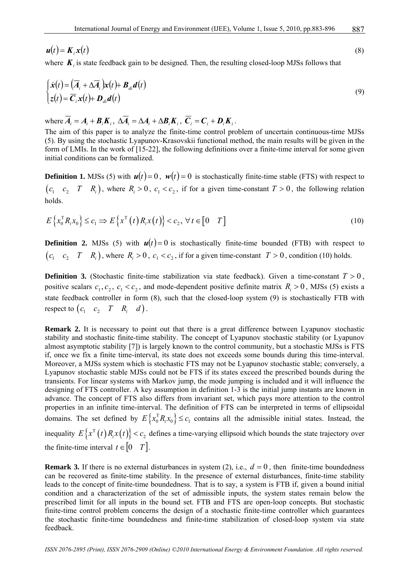$$
\mathbf{u}(t) = \mathbf{K}_i \mathbf{x}(t) \tag{8}
$$

where  $K_i$  is state feedback gain to be designed. Then, the resulting closed-loop MJSs follows that

$$
\begin{cases}\n\dot{\mathbf{x}}(t) = (\overline{A}_i + \Delta \overline{A}_i)\mathbf{x}(t) + \mathbf{B}_{di} \mathbf{d}(t) \\
z(t) = \overline{\mathbf{C}}_i \mathbf{x}(t) + \mathbf{D}_{di} \mathbf{d}(t)\n\end{cases}
$$
\n(9)

where  $\overline{A}_i = A_i + B_i K_i$ ,  $\Delta \overline{A}_i = \Delta A_i + \Delta B_i K_i$ ,  $\overline{C}_i = C_i + D_i K_i$ .

The aim of this paper is to analyze the finite-time control problem of uncertain continuous-time MJSs (5). By using the stochastic Lyapunov-Krasovskii functional method, the main results will be given in the form of LMIs. In the work of [15-22], the following definitions over a finite-time interval for some given initial conditions can be formalized.

**Definition 1.** MJSs (5) with  $u(t) = 0$ ,  $w(t) = 0$  is stochastically finite-time stable (FTS) with respect to  $(c_1 \ c_2 \ T \ R_i)$ , where  $R_i > 0$ ,  $c_1 < c_2$ , if for a given time-constant  $T > 0$ , the following relation holds.

$$
E\left\{x_0^{\mathrm{T}} R_i x_0\right\} \le c_1 \Longrightarrow E\left\{x^{\mathrm{T}}\left(t\right) R_i x(t)\right\} < c_2, \,\forall \, t \in \begin{bmatrix} 0 & T \end{bmatrix} \tag{10}
$$

**Definition 2.** MJSs (5) with  $u(t) = 0$  is stochastically finite-time bounded (FTB) with respect to  $(c_1 \quad c_2 \quad T \quad R_i)$ , where  $R_i > 0$ ,  $c_1 < c_2$ , if for a given time-constant  $T > 0$ , condition (10) holds.

**Definition 3.** (Stochastic finite-time stabilization via state feedback). Given a time-constant  $T > 0$ , positive scalars  $c_1, c_2, c_1 < c_2$ , and mode-dependent positive definite matrix  $R_i > 0$ , MJSs (5) exists a state feedback controller in form (8), such that the closed-loop system (9) is stochastically FTB with respect to  $(c_1 \quad c_2 \quad T \quad R_i \quad d)$ .

**Remark 2.** It is necessary to point out that there is a great difference between Lyapunov stochastic stability and stochastic finite-time stability. The concept of Lyapunov stochastic stability (or Lyapunov almost asymptotic stability [7]) is largely known to the control community, but a stochastic MJSs is FTS if, once we fix a finite time-interval, its state does not exceeds some bounds during this time-interval. Moreover, a MJSs system which is stochastic FTS may not be Lyapunov stochastic stable; conversely, a Lyapunov stochastic stable MJSs could not be FTS if its states exceed the prescribed bounds during the transients. For linear systems with Markov jump, the mode jumping is included and it will influence the designing of FTS controller. A key assumption in definition 1-3 is the initial jump instants are known in advance. The concept of FTS also differs from invariant set, which pays more attention to the control properties in an infinite time-interval. The definition of FTS can be interpreted in terms of ellipsoidal domains. The set defined by  $E\left\{x_0^T R_i x_0\right\} \leq c_1$  contains all the admissible initial states. Instead, the inequality  $E\{x^T(t)R_ix(t)\}< c_2$  defines a time-varying ellipsoid which bounds the state trajectory over the finite-time interval  $t \in [0 \ T]$ .

**Remark 3.** If there is no external disturbances in system (2), i.e.,  $d = 0$ , then finite-time boundedness can be recovered as finite-time stability. In the presence of external disturbances, finite-time stability leads to the concept of finite-time boundedness. That is to say, a system is FTB if, given a bound initial condition and a characterization of the set of admissible inputs, the system states remain below the prescribed limit for all inputs in the bound set. FTB and FTS are open-loop concepts. But stochastic finite-time control problem concerns the design of a stochastic finite-time controller which guarantees the stochastic finite-time boundedness and finite-time stabilization of closed-loop system via state feedback.

887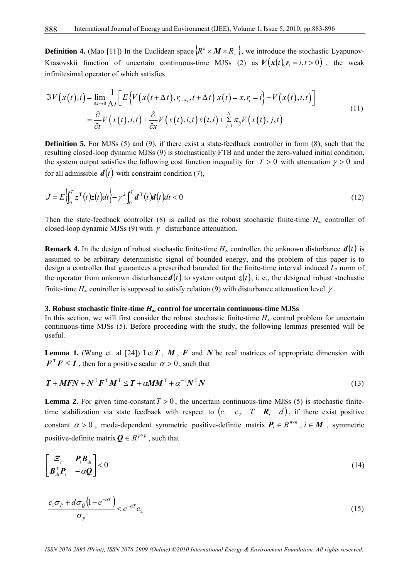**Definition 4.** (Mao [11]) In the Euclidean space  $\{R^n \times M \times R_+\}$ , we introduce the stochastic Lyapunov-Krasovskii function of uncertain continuous-time MJSs (2) as  $V(x(t), r, = i, t > 0)$ , the weak infinitesimal operator of which satisfies

$$
\mathfrak{F}V\left(x(t),i\right) = \lim_{\Delta t \to 0} \frac{1}{\Delta t} \Big[ E\Big\{ V\Big(x\big(t+\Delta t\big), r_{t+\Delta t}, t+\Delta t\Big) \Big| x\big(t\big) = x, r_i = i \Big\} - V\Big(x\big(t\big), i, t\Big) \Big] = \frac{\partial}{\partial t} V\Big(x\big(t\big), i, t\Big) + \frac{\partial}{\partial x} V\Big(x\big(t\big), i, t\Big) \dot{x}\Big(t, i\Big) + \sum_{j=1}^{N} \pi_{ij} V\Big(x\big(t\big), j, t\Big)
$$
(11)

**Definition 5.** For MJSs (5) and (9), if there exist a state-feedback controller in form (8), such that the resulting closed-loop dynamic MJSs (9) is stochastically FTB and under the zero-valued initial condition, the system output satisfies the following cost function inequality for  $T > 0$  with attenuation  $\gamma > 0$  and for all admissible  $d(t)$  with constraint condition (7),

$$
J = E\left\{\int_0^T z^\mathrm{T}(t)z(t)dt\right\} - \gamma^2 \int_0^T d^\mathrm{T}(t)dt/dt < 0
$$
\n(12)

Then the state-feedback controller (8) is called as the robust stochastic finite-time  $H_{\infty}$  controller of closed-loop dynamic MJSs (9) with  $\gamma$ -disturbance attenuation.

**Remark 4.** In the design of robust stochastic finite-time  $H_{\infty}$  controller, the unknown disturbance  $d(t)$  is assumed to be arbitrary deterministic signal of bounded energy, and the problem of this paper is to design a controller that guarantees a prescribed bounded for the finite-time interval induced  $L_2$  norm of the operator from unknown disturbance  $d(t)$  to system output  $z(t)$ , i. e., the designed robust stochastic finite-time  $H_{\infty}$  controller is supposed to satisfy relation (9) with disturbance attenuation level  $\gamma$ .

#### **3. Robust stochastic finite-time** *H*∞ **control for uncertain continuous-time MJSs**

In this section, we will first consider the robust stochastic finite-time  $H_{\infty}$  control problem for uncertain continuous-time MJSs (5). Before proceeding with the study, the following lemmas presented will be useful.

**Lemma 1.** (Wang et. al [24]) Let  $T$ ,  $M$ ,  $F$  and  $N$  be real matrices of appropriate dimension with  $\boldsymbol{F}^T \boldsymbol{F} \leq \boldsymbol{I}$ , then for a positive scalar  $\alpha > 0$ , such that

$$
\boldsymbol{T} + \boldsymbol{M}\boldsymbol{F}\boldsymbol{N} + \boldsymbol{N}^{\mathrm{T}}\boldsymbol{F}^{\mathrm{T}}\boldsymbol{M}^{\mathrm{T}} \leq \boldsymbol{T} + \alpha\boldsymbol{M}\boldsymbol{M}^{\mathrm{T}} + \alpha^{-1}\boldsymbol{N}^{\mathrm{T}}\boldsymbol{N}
$$
\n(13)

**Lemma 2.** For given time-constant  $T > 0$ , the uncertain continuous-time MJSs (5) is stochastic finitetime stabilization via state feedback with respect to  $(c_1 \ c_2 \ T \ R_i \ d)$ , if there exist positive constant  $\alpha > 0$ , mode-dependent symmetric positive-definite matrix  $P_i \in R^{n \times n}$ ,  $i \in M$ , symmetric positive-definite matrix  $\mathbf{Q} \in R^{p \times p}$ , such that

$$
\begin{bmatrix} \boldsymbol{\Xi}_i & \boldsymbol{P}_i \boldsymbol{B}_{di} \\ \boldsymbol{B}_{di}^{\mathrm{T}} \boldsymbol{P}_i & -\alpha \boldsymbol{Q} \end{bmatrix} < 0 \tag{14}
$$

$$
\frac{c_1\sigma_p + d\sigma_Q\left(1 - e^{-\alpha T}\right)}{\sigma_p} < e^{-\alpha T}c_2\tag{15}
$$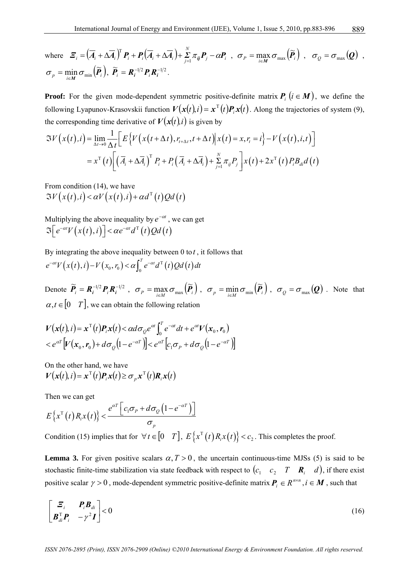where 
$$
\mathbf{\Xi}_i = (\overline{A}_i + \Delta \overline{A}_i)^T \mathbf{P}_i + \mathbf{P}_i (\overline{A}_i + \Delta \overline{A}_i) + \sum_{j=1}^N \pi_{ij} \mathbf{P}_j - \alpha \mathbf{P}_i, \quad \sigma_P = \max_{i \in M} \sigma_{max} (\widetilde{\mathbf{P}}_i), \quad \sigma_Q = \sigma_{max} (\mathbf{Q}),
$$

$$
\sigma_p = \min_{i \in M} \sigma_{min} (\widetilde{\mathbf{P}}_i), \ \widetilde{\mathbf{P}}_i = \mathbf{R}_i^{-1/2} \mathbf{P}_i \mathbf{R}_i^{-1/2}.
$$

**Proof:** For the given mode-dependent symmetric positive-definite matrix  $P_i$  ( $i \in M$ ), we define the following Lyapunov-Krasovskii function  $V(x(t), i) = x^T(t)P_i x(t)$ . Along the trajectories of system (9), the corresponding time derivative of  $V(\mathbf{x}(t),i)$  is given by

$$
\mathfrak{F}V\left(x(t),i\right) = \lim_{\Delta t \to 0} \frac{1}{\Delta t} \Big[ E\Big\{ V\Big(x\big(t+\Delta t\big), r_{t+\Delta t}, t+\Delta t \Big) \Big| x\big(t\big) = x, r_i = i \Big\} - V\Big(x\big(t\big), i, t\Big) \Big]
$$
  
=  $x^{\mathrm{T}}\left(t\right) \Big[ \Big(\overline{A}_i + \Delta \overline{A}_i\Big)^{\mathrm{T}} P_i + P_i\Big(\overline{A}_i + \Delta \overline{A}_i\Big) + \sum_{j=1}^N \pi_{ij} P_j \Big] x\big(t\big) + 2x^{\mathrm{T}}\left(t\right) P_i B_{di} d\big(t\big)$ 

From condition (14), we have  $\Im V(x(t),i) < \alpha V(x(t),i) + \alpha d^{T}(t)Qd(t)$ 

Multiplying the above inequality by  $e^{-\alpha t}$ , we can get  $\Im\left[e^{-\alpha t}V\left(x(t),i\right)\right]<\alpha e^{-\alpha t}d^{\mathrm{T}}\left(t\right)Qd\left(t\right)$ 

By integrating the above inequality between 0 to *t* , it follows that  $e^{-\alpha t}V(x(t), i) - V(x_0, r_0) < \alpha \int_0^T e^{-\alpha t} d^T(t) Qd(t) dt$ 

Denote  $\widetilde{P}_i = R_i^{-1/2} P_i R_i^{-1/2}$ ,  $\sigma_p = \max_{i \in M} \sigma_{\max}(\widetilde{P}_i)$ ,  $\sigma_p = \min_{i \in M} \sigma_{\min}(\widetilde{P}_i)$ ,  $\sigma_Q = \sigma_{\max}(Q)$ . Note that  $\alpha, t \in [0 \ T]$ , we can obtain the following relation

$$
V(\mathbf{x}(t), i) = \mathbf{x}^{\mathrm{T}}(t) \mathbf{P}_i \mathbf{x}(t) < \alpha d \sigma_Q e^{\alpha t} \int_0^T e^{-\alpha t} dt + e^{\alpha t} V(\mathbf{x}_0, \mathbf{r}_0)
$$
  

$$
< e^{\alpha t} [V(\mathbf{x}_0, \mathbf{r}_0) + d \sigma_Q (1 - e^{-\alpha t})] < e^{\alpha t} [c_1 \sigma_P + d \sigma_Q (1 - e^{-\alpha t})]
$$

On the other hand, we have  $V(\mathbf{x}(t), i) = \mathbf{x}^{\mathrm{T}}(t)\mathbf{P}_i\mathbf{x}(t) \geq \sigma_n\mathbf{x}^{\mathrm{T}}(t)\mathbf{R}_i\mathbf{x}(t)$ 

Then we can get

$$
E\left\{x^{\mathrm{T}}(t)R_{i}x(t)\right\} < \frac{e^{\alpha T}\left[c_{1}\sigma_{p} + d\sigma_{Q}\left(1 - e^{-\alpha T}\right)\right]}{\sigma_{p}}
$$

Condition (15) implies that for  $\forall t \in [0 \ T]$ ,  $E\{x^{T}(t)R_{i}x(t)\} < c_{2}$ . This completes the proof.

**Lemma 3.** For given positive scalars  $\alpha, T > 0$ , the uncertain continuous-time MJSs (5) is said to be stochastic finite-time stabilization via state feedback with respect to  $(c_1 \ c_2 \ T \ R_i \ d)$ , if there exist positive scalar  $\gamma > 0$ , mode-dependent symmetric positive-definite matrix  $P_i \in R^{n \times n}$ ,  $i \in M$ , such that

$$
\begin{bmatrix} \boldsymbol{\Xi}_i & \boldsymbol{P}_i \boldsymbol{B}_{di} \\ \boldsymbol{B}_{di}^{\mathrm{T}} \boldsymbol{P}_i & -\gamma^2 \boldsymbol{I} \end{bmatrix} < 0 \tag{16}
$$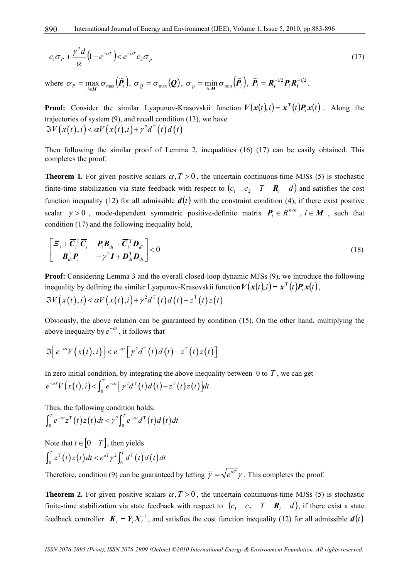$$
c_1 \sigma_p + \frac{\gamma^2 d}{\alpha} \left( 1 - e^{-\alpha T} \right) < e^{-\alpha T} c_2 \sigma_p \tag{17}
$$

where  $\sigma_p = \max_{i \in M} \sigma_{\max}(\tilde{P}_i)$ ,  $\sigma_Q = \sigma_{\max}(Q)$ ,  $\sigma_p = \min_{i \in M} \sigma_{\min}(\tilde{P}_i)$ ,  $\tilde{P}_i = R_i^{-1/2} P_i R_i^{-1/2}$ .

**Proof:** Consider the similar Lyapunov-Krasovskii function  $V(x(t), i) = x^T(t)P_i x(t)$ . Along the trajectories of system (9), and recall condition (13), we have  $\Im V(x(t), i) < \alpha V(x(t), i) + \gamma^2 d^T(t) d(t)$ 

Then following the similar proof of Lemma 2, inequalities (16) (17) can be easily obtained. This completes the proof.

**Theorem 1.** For given positive scalars  $\alpha$ ,  $T > 0$ , the uncertain continuous-time MJSs (5) is stochastic finite-time stabilization via state feedback with respect to  $(c_1 \quad c_2 \quad T \quad \mathbf{R}_i \quad d)$  and satisfies the cost function inequality (12) for all admissible  $d(t)$  with the constraint condition (4), if there exist positive scalar  $\gamma > 0$ , mode-dependent symmetric positive-definite matrix  $P_i \in R^{n \times n}$ ,  $i \in M$ , such that condition (17) and the following inequality hold,

$$
\begin{bmatrix} \boldsymbol{\Xi}_i + \overline{\boldsymbol{C}}_i^{\mathrm{T}} \overline{\boldsymbol{C}}_i & \boldsymbol{P}_i \boldsymbol{B}_{di} + \overline{\boldsymbol{C}}_i^{\mathrm{T}} \boldsymbol{D}_{di} \\ \boldsymbol{B}_{di}^{\mathrm{T}} \boldsymbol{P}_i & -\gamma^2 \boldsymbol{I} + \boldsymbol{D}_{di}^{\mathrm{T}} \boldsymbol{D}_{di} \end{bmatrix} < 0
$$
\n(18)

**Proof:** Considering Lemma 3 and the overall closed-loop dynamic MJSs (9), we introduce the following inequality by defining the similar Lyapunov-Krasovskii function  $V(x(t), i) = x^{T}(t)P_{i}x(t)$ ,  $\Im V(x(t), i) < \alpha V(x(t), i) + \gamma^2 d^{T}(t) d(t) - z^{T}(t) z(t)$ 

Obviously, the above relation can be guaranteed by condition (15). On the other hand, multiplying the above inequality by  $e^{-\alpha t}$ , it follows that

$$
\mathfrak{I}\Big[e^{-\alpha t}V\big(x(t),i\big)\Big] < e^{-\alpha t}\Big[\gamma^2 d^\mathrm{T}\big(t\big)d\big(t\big)-z^\mathrm{T}\big(t\big)z\big(t\big)\Big]
$$

In zero initial condition, by integrating the above inequality between  $\theta$  to  $T$ , we can get  $e^{-\alpha T}V(x(t),i) < \int_0^T e^{-\alpha t} \left[ \gamma^2 d^{\mathrm{T}}(t) d(t) - z^{\mathrm{T}}(t) z(t) \right] dt$ 

Thus, the following condition holds,

$$
\int_0^T e^{-\alpha t} z^{\mathrm{T}}(t) z(t) dt < \gamma^2 \int_0^T e^{-\alpha t} d^{\mathrm{T}}(t) dt(t) dt
$$

Note that  $t \in [0 \ T]$ , then yields  $\int_0^T z^{\mathrm{T}}(t) z(t) dt < e^{\alpha T} \gamma^2 \int_0^T d^{\mathrm{T}}(t) dt(t) dt$ 

Therefore, condition (9) can be guaranteed by letting  $\overline{\gamma} = \sqrt{e^{\alpha T}} \gamma$ . This completes the proof.

**Theorem 2.** For given positive scalars  $\alpha, T > 0$ , the uncertain continuous-time MJSs (5) is stochastic finite-time stabilization via state feedback with respect to  $(c_1, c_2, T, \mathbf{R}_i, d)$ , if there exist a state feedback controller  $K_i = Y_i X_i^{-1}$ , and satisfies the cost function inequality (12) for all admissible  $d(t)$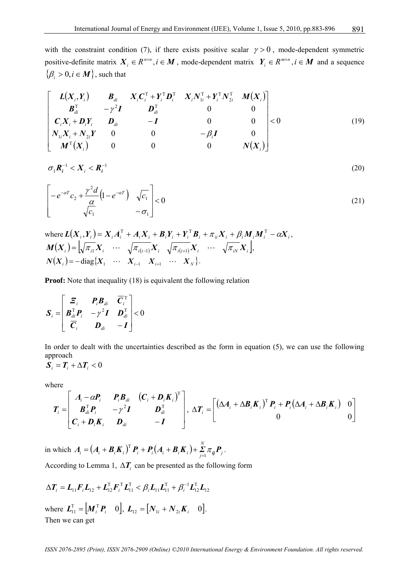with the constraint condition (7), if there exists positive scalar  $\gamma > 0$ , mode-dependent symmetric positive-definite matrix  $X_i \in R^{n \times n}, i \in M$ , mode-dependent matrix  $Y_i \in R^{m \times n}, i \in M$  and a sequence  $\{\beta_i > 0, i \in M\}$ , such that

$$
\begin{bmatrix}\nL(X_i, Y_i) & B_{di} & X_i C_i^{\mathrm{T}} + Y_i^{\mathrm{T}} D_i^{\mathrm{T}} & X_i N_{1i}^{\mathrm{T}} + Y_i^{\mathrm{T}} N_{2i}^{\mathrm{T}} & M(X_i) \\
B_{di}^{\mathrm{T}} & -\gamma^2 I & D_{di}^{\mathrm{T}} & 0 & 0 \\
C_i X_i + D_i Y_i & D_{di} & -I & 0 & 0 \\
N_{1i} X_i + N_{2i} Y & 0 & 0 & -\beta_i I & 0 \\
M^{\mathrm{T}}(X_i) & 0 & 0 & 0 & N(X_i)\n\end{bmatrix} < 0
$$
\n(19)

$$
\sigma_1 \boldsymbol{R}_i^{-1} < \boldsymbol{X}_i < \boldsymbol{R}_i^{-1} \tag{20}
$$

$$
\left[ -e^{-\alpha T} c_2 + \frac{\gamma^2 d}{\alpha} \left( 1 - e^{-\alpha T} \right) \sqrt{c_1} \right] < 0 \tag{21}
$$

where 
$$
L(X_i, Y_i) = X_i A_i^{\mathrm{T}} + A_i X_i + B_i Y_i + Y_i^{\mathrm{T}} B_i + \pi_{ii} X_i + \beta_i M_i M_i^{\mathrm{T}} - \alpha X_i,
$$

$$
M(X_i) = \left[ \sqrt{\pi_{i1}} X_i \cdots \sqrt{\pi_{i(i-1)}} X_i \sqrt{\pi_{i(i+1)}} X_i \cdots \sqrt{\pi_{iN}} X_i \right],
$$

$$
N(X_i) = -\text{diag}\{X_1 \cdots X_{i-1} X_{i+1} \cdots X_N\}.
$$

**Proof:** Note that inequality (18) is equivalent the following relation

$$
\boldsymbol{S}_{i} = \begin{bmatrix} \boldsymbol{\Xi}_{i} & \boldsymbol{P}_{i} \boldsymbol{B}_{di} & \overline{\boldsymbol{C}}_{i}^{\mathrm{T}} \\ \boldsymbol{B}_{di}^{\mathrm{T}} \boldsymbol{P}_{i} & -\gamma^{2} \boldsymbol{I} & \boldsymbol{D}_{di}^{\mathrm{T}} \\ \overline{\boldsymbol{C}}_{i} & \boldsymbol{D}_{di} & -\boldsymbol{I} \end{bmatrix} < 0
$$

In order to dealt with the uncertainties described as the form in equation (5), we can use the following approach

$$
\boldsymbol{S}_i = \boldsymbol{T}_i + \Delta \boldsymbol{T}_i < 0
$$

where

$$
\boldsymbol{T}_{i} = \begin{bmatrix} A_{i} - \alpha P_{i} & P_{i} B_{di} & (C_{i} + D_{i} K_{i})^{\mathrm{T}} \\ B_{di}^{\mathrm{T}} P_{i} & -\gamma^{2} I & D_{di}^{\mathrm{T}} \\ C_{i} + D_{i} K_{i} & D_{di} & -I \end{bmatrix}, \ \Delta T_{i} = \begin{bmatrix} (\Delta A_{i} + \Delta B_{i} K_{i})^{\mathrm{T}} P_{i} + P_{i} (\Delta A_{i} + \Delta B_{i} K_{i}) & 0 \\ 0 & 0 & 0 \end{bmatrix}
$$

in which  $A_i = (A_i + B_i K_i)^T P_i + P_i (A_i + B_i K_i) + \sum_{i=1}^{N} \pi_{ij} P_i$  $A_i = (A_i + B_i K_i)^T P_i + P_i (A_i + B_i K_i) + \sum_{j=1}^K \pi_{ij} P_j$  $=(A_i + B_i K_i)^T P_i + P_i (A_i + B_i K_i) + \sum_{j=1}^{\infty} \pi_{ij} P_j$ .

According to Lemma 1,  $\Delta T$ <sub>*i*</sub> can be presented as the following form

$$
\Delta T_i = L_{11} F_i L_{12} + L_{12}^{\mathrm{T}} F_i^{\mathrm{T}} L_{11}^{\mathrm{T}} < \beta_i L_{11} L_{11}^{\mathrm{T}} + \beta_i^{-1} L_{12}^{\mathrm{T}} L_{12}
$$
  
where  $L_{11}^{\mathrm{T}} = [M_i^{\mathrm{T}} P_i \quad 0], L_{12} = [N_{1i} + N_{2i} K_i \quad 0].$   
Then we can get

*ISSN 2076-2895 (Print), ISSN 2076-2909 (Online) ©2010 International Energy & Environment Foundation. All rights reserved.*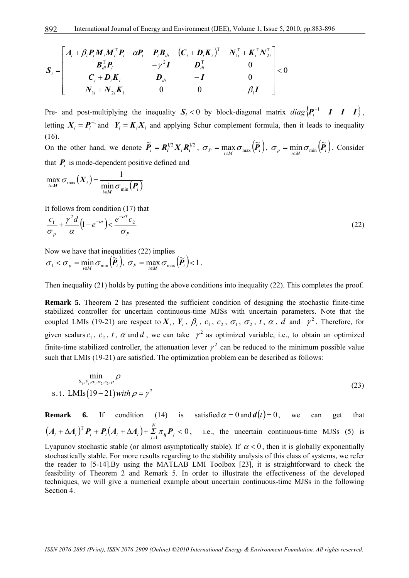$$
\boldsymbol{S}_{i} = \begin{bmatrix}\nA_{i} + \beta_{i} P_{i} M_{i} M_{i}^{\mathrm{T}} P_{i} - \alpha P_{i} & P_{i} B_{di} & (C_{i} + D_{i} K_{i})^{\mathrm{T}} & N_{1i}^{\mathrm{T}} + K_{i}^{\mathrm{T}} N_{2i}^{\mathrm{T}} \\
B_{di}^{\mathrm{T}} P_{i} & -\gamma^{2} I & D_{di}^{\mathrm{T}} & 0 \\
C_{i} + D_{i} K_{i} & D_{di} & -I & 0 \\
N_{1i} + N_{2i} K_{i} & 0 & 0 & -\beta_{i} I\n\end{bmatrix} < 0
$$

Pre- and post-multiplying the inequality  $S_i < 0$  by block-diagonal matrix  $diag\{\mathbf{P}_i^{-1} \quad \mathbf{I} \quad \mathbf{I} \quad \mathbf{I}\}$ , letting  $X_i = P_i^{-1}$  and  $Y_i = K_i X_i$  and applying Schur complement formula, then it leads to inequality (16).

On the other hand, we denote  $\tilde{P}_i = R_i^{1/2} X_i R_i^{1/2}$ ,  $\sigma_p = \max_{i \in M} \sigma_{\max}(\tilde{P}_i)$ ,  $\sigma_p = \min_{i \in M} \sigma_{\min}(\tilde{P}_i)$ . Consider that  $P_i$  is mode-dependent positive defined and

$$
\max_{i \in M} \sigma_{\max}\left(\boldsymbol{X}_{i}\right) = \frac{1}{\min_{i \in M} \sigma_{\min}\left(\boldsymbol{P}_{i}\right)}
$$

It follows from condition (17) that

$$
\frac{c_1}{\sigma_p} + \frac{\gamma^2 d}{\alpha} \left( 1 - e^{-\alpha t} \right) < \frac{e^{-\alpha T} c_2}{\sigma_p} \tag{22}
$$

Now we have that inequalities (22) implies

$$
\sigma_1 < \sigma_p = \min_{i \in M} \sigma_{\min}(\widetilde{\boldsymbol{P}}_i), \ \sigma_p = \max_{i \in M} \sigma_{\max}(\widetilde{\boldsymbol{P}}_i) < 1.
$$

Then inequality (21) holds by putting the above conditions into inequality (22). This completes the proof.

**Remark 5.** Theorem 2 has presented the sufficient condition of designing the stochastic finite-time stabilized controller for uncertain continuous-time MJSs with uncertain parameters. Note that the coupled LMIs (19-21) are respect to  $X_i$ ,  $Y_i$ ,  $\beta_i$ ,  $c_1$ ,  $c_2$ ,  $\sigma_1$ ,  $\sigma_2$ ,  $t$ ,  $\alpha$ ,  $d$  and  $\gamma^2$ . Therefore, for given scalars  $c_1$ ,  $c_2$ ,  $t$ ,  $\alpha$  and  $d$ , we can take  $\gamma^2$  as optimized variable, i.e., to obtain an optimized finite-time stabilized controller, the attenuation lever  $\gamma^2$  can be reduced to the minimum possible value such that LMIs (19-21) are satisfied. The optimization problem can be described as follows:

$$
\min_{\substack{x_i, y_i, \sigma_1, \sigma_2, c_2, \rho}} \rho
$$
\ns.t. LMIs(19–21) with  $\rho = \gamma^2$  (23)

**Remark 6.** If condition (14) is satisfied  $\alpha = 0$  and  $d(t) = 0$ , we can get that  $\left( \boldsymbol{A}_i + \Delta \boldsymbol{A}_i \right)^{\text{T}} \boldsymbol{P}_i + \boldsymbol{P}_i \big( \boldsymbol{A}_i + \Delta \boldsymbol{A}_i \big) + \sum\limits_{j=1}^N \boldsymbol{\pi}_{ij} \boldsymbol{P}_j < 0$  $(A_i + \Delta A_i)^T P_i + P_i(A_i + \Delta A_i) + \sum_{j=1}^n \pi_{ij} P_j < 0$ , i.e., the uncertain continuous-time MJSs (5) is

Lyapunov stochastic stable (or almost asymptotically stable). If  $\alpha < 0$ , then it is globally exponentially stochastically stable. For more results regarding to the stability analysis of this class of systems, we refer the reader to [5-14].By using the MATLAB LMI Toolbox [23], it is straightforward to check the feasibility of Theorem 2 and Remark 5. In order to illustrate the effectiveness of the developed techniques, we will give a numerical example about uncertain continuous-time MJSs in the following Section 4.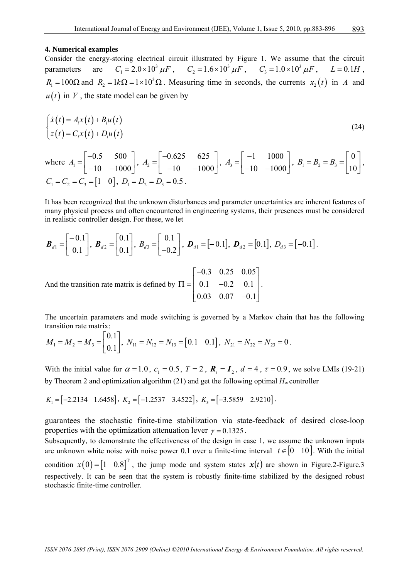#### **4. Numerical examples**

Consider the energy-storing electrical circuit illustrated by Figure 1. We assume that the circuit parameters are  $C_1 = 2.0 \times 10^3 \,\mu\text{F}$ ,  $C_2 = 1.6 \times 10^3 \,\mu\text{F}$ ,  $C_3 = 1.0 \times 10^3 \,\mu\text{F}$ ,  $L = 0.1H$ ,  $R_1 = 100\Omega$  and  $R_2 = 1k\Omega = 1 \times 10^3 \Omega$ . Measuring time in seconds, the currents  $x_2(t)$  in *A* and  $u(t)$  in V, the state model can be given by

$$
\begin{cases}\n\dot{x}(t) = A_i x(t) + B_i u(t) \\
z(t) = C_i x(t) + D_i u(t)\n\end{cases}
$$
\n(24)

where 
$$
A_1 = \begin{bmatrix} -0.5 & 500 \\ -10 & -1000 \end{bmatrix}
$$
,  $A_2 = \begin{bmatrix} -0.625 & 625 \\ -10 & -1000 \end{bmatrix}$ ,  $A_3 = \begin{bmatrix} -1 & 1000 \\ -10 & -1000 \end{bmatrix}$ ,  $B_1 = B_2 = B_3 = \begin{bmatrix} 0 \\ 10 \end{bmatrix}$ ,  
\n $C_1 = C_2 = C_3 = \begin{bmatrix} 1 & 0 \end{bmatrix}$ ,  $D_1 = D_2 = D_3 = 0.5$ .

It has been recognized that the unknown disturbances and parameter uncertainties are inherent features of many physical process and often encountered in engineering systems, their presences must be considered in realistic controller design. For these, we let

$$
\boldsymbol{B}_{d1} = \begin{bmatrix} -0.1 \\ 0.1 \end{bmatrix}, \ \boldsymbol{B}_{d2} = \begin{bmatrix} 0.1 \\ 0.1 \end{bmatrix}, \ \boldsymbol{B}_{d3} = \begin{bmatrix} 0.1 \\ -0.2 \end{bmatrix}, \ \boldsymbol{D}_{d1} = \begin{bmatrix} -0.1 \end{bmatrix}, \ \boldsymbol{D}_{d2} = \begin{bmatrix} 0.1 \end{bmatrix}, \ \boldsymbol{D}_{d3} = \begin{bmatrix} -0.1 \end{bmatrix}.
$$
  
And the transition rate matrix is defined by  $\Pi = \begin{bmatrix} -0.3 & 0.25 & 0.05 \\ 0.1 & -0.2 & 0.1 \\ 0.03 & 0.07 & -0.1 \end{bmatrix}.$ 

The uncertain parameters and mode switching is governed by a Markov chain that has the following transition rate matrix:  $\Gamma_0$ .17

$$
M_1 = M_2 = M_3 = \begin{bmatrix} 0.1 \\ 0.1 \end{bmatrix}, N_{11} = N_{12} = N_{13} = \begin{bmatrix} 0.1 & 0.1 \end{bmatrix}, N_{21} = N_{22} = N_{23} = 0.
$$

With the initial value for  $\alpha = 1.0$ ,  $c_1 = 0.5$ ,  $T = 2$ ,  $\mathbf{R}_i = \mathbf{I}_2$ ,  $d = 4$ ,  $\tau = 0.9$ , we solve LMIs (19-21) by Theorem 2 and optimization algorithm (21) and get the following optimal *H*<sup>∞</sup> controller

$$
K_1 = [-2.2134 \quad 1.6458], \ K_2 = [-1.2537 \quad 3.4522], \ K_3 = [-3.5859 \quad 2.9210].
$$

guarantees the stochastic finite-time stabilization via state-feedback of desired close-loop properties with the optimization attenuation lever  $\gamma = 0.1325$ .

Subsequently, to demonstrate the effectiveness of the design in case 1, we assume the unknown inputs are unknown white noise with noise power 0.1 over a finite-time interval  $t \in [0 \ 10]$ . With the initial condition  $x(0) = \begin{bmatrix} 1 & 0.8 \end{bmatrix}^T$ , the jump mode and system states  $x(t)$  are shown in Figure.2-Figure.3 respectively. It can be seen that the system is robustly finite-time stabilized by the designed robust stochastic finite-time controller.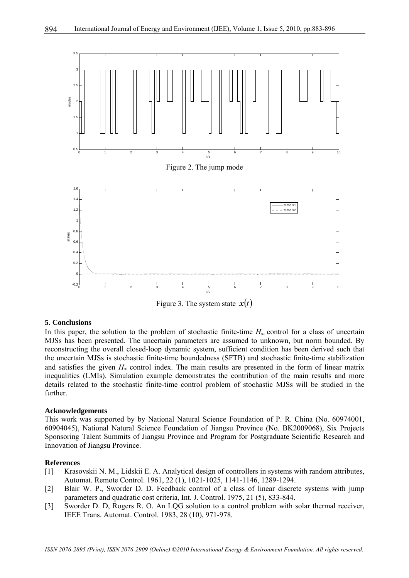

Figure 3. The system state  $x(t)$ 

#### **5. Conclusions**

In this paper, the solution to the problem of stochastic finite-time *H*<sup>∞</sup> control for a class of uncertain MJSs has been presented. The uncertain parameters are assumed to unknown, but norm bounded. By reconstructing the overall closed-loop dynamic system, sufficient condition has been derived such that the uncertain MJSs is stochastic finite-time boundedness (SFTB) and stochastic finite-time stabilization and satisfies the given  $H_{\infty}$  control index. The main results are presented in the form of linear matrix inequalities (LMIs). Simulation example demonstrates the contribution of the main results and more details related to the stochastic finite-time control problem of stochastic MJSs will be studied in the further.

#### **Acknowledgements**

This work was supported by by National Natural Science Foundation of P. R. China (No. 60974001, 60904045), National Natural Science Foundation of Jiangsu Province (No. BK2009068), Six Projects Sponsoring Talent Summits of Jiangsu Province and Program for Postgraduate Scientific Research and Innovation of Jiangsu Province.

#### **References**

- [1] Krasovskii N. M., Lidskii E. A. Analytical design of controllers in systems with random attributes, Automat. Remote Control. 1961, 22 (1), 1021-1025, 1141-1146, 1289-1294.
- [2] Blair W. P., Sworder D. D. Feedback control of a class of linear discrete systems with jump parameters and quadratic cost criteria, Int. J. Control. 1975, 21 (5), 833-844.
- [3] Sworder D. D, Rogers R. O. An LQG solution to a control problem with solar thermal receiver, IEEE Trans. Automat. Control. 1983, 28 (10), 971-978.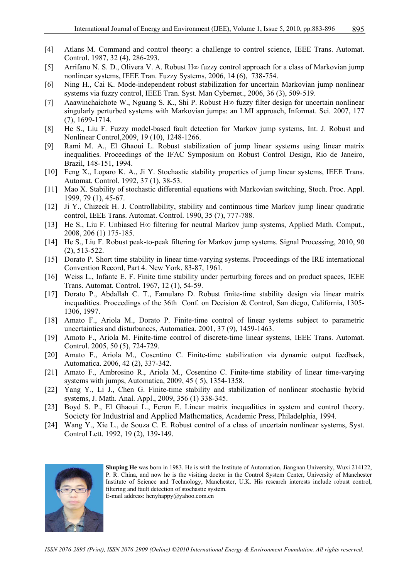- [4] Atlans M. Command and control theory: a challenge to control science, IEEE Trans. Automat. Control. 1987, 32 (4), 286-293.
- [5] Arrifano N. S. D., Olivera V. A. Robust H∞ fuzzy control approach for a class of Markovian jump nonlinear systems, IEEE Tran. Fuzzy Systems, 2006, 14 (6), 738-754.
- [6] Ning H., Cai K. Mode-independent robust stabilization for uncertain Markovian jump nonlinear systems via fuzzy control, IEEE Tran. Syst. Man Cybernet., 2006, 36 (3), 509-519.
- [7] Aaawinchaichote W., Nguang S. K., Shi P. Robust H∞ fuzzy filter design for uncertain nonlinear singularly perturbed systems with Markovian jumps: an LMI approach, Informat. Sci. 2007, 177 (7), 1699-1714.
- [8] He S., Liu F. Fuzzy model-based fault detection for Markov jump systems, Int. J. Robust and Nonlinear Control,2009, 19 (10), 1248-1266.
- [9] Rami M. A., El Ghaoui L. Robust stabilization of jump linear systems using linear matrix inequalities. Proceedings of the IFAC Symposium on Robust Control Design, Rio de Janeiro, Brazil, 148-151, 1994.
- [10] Feng X., Loparo K. A., Ji Y. Stochastic stability properties of jump linear systems, IEEE Trans. Automat. Control. 1992, 37 (1), 38-53.
- [11] Mao X. Stability of stochastic differential equations with Markovian switching, Stoch. Proc. Appl. 1999, 79 (1), 45-67.
- [12] Ji Y., Chizeck H. J. Controllability, stability and continuous time Markov jump linear quadratic control, IEEE Trans. Automat. Control. 1990, 35 (7), 777-788.
- [13] He S., Liu F. Unbiased H∞ filtering for neutral Markov jump systems, Applied Math. Comput., 2008, 206 (1) 175-185.
- [14] He S., Liu F. Robust peak-to-peak filtering for Markov jump systems. Signal Processing, 2010, 90 (2), 513-522.
- [15] Dorato P. Short time stability in linear time-varying systems. Proceedings of the IRE international Convention Record, Part 4. New York, 83-87, 1961.
- [16] Weiss L., Infante E. F. Finite time stability under perturbing forces and on product spaces, IEEE Trans. Automat. Control. 1967, 12 (1), 54-59.
- [17] Dorato P., Abdallah C. T., Famularo D. Robust finite-time stability design via linear matrix inequalities. Proceedings of the 36th Conf. on Decision & Control, San diego, California, 1305- 1306, 1997.
- [18] Amato F., Ariola M., Dorato P. Finite-time control of linear systems subject to parametric uncertainties and disturbances, Automatica. 2001, 37 (9), 1459-1463.
- [19] Amoto F., Ariola M. Finite-time control of discrete-time linear systems, IEEE Trans. Automat. Control. 2005, 50 (5), 724-729.
- [20] Amato F., Ariola M., Cosentino C. Finite-time stabilization via dynamic output feedback, Automatica. 2006, 42 (2), 337-342.
- [21] Amato F., Ambrosino R., Ariola M., Cosentino C. Finite-time stability of linear time-varying systems with jumps, Automatica, 2009, 45 ( 5), 1354-1358.
- [22] Yang Y., Li J., Chen G. Finite-time stability and stabilization of nonlinear stochastic hybrid systems, J. Math. Anal. Appl., 2009, 356 (1) 338-345.
- [23] Boyd S. P., El Ghaoui L., Feron E. Linear matrix inequalities in system and control theory. Society for Industrial and Applied Mathematics, Academic Press, Philadelphia, 1994.
- [24] Wang Y., Xie L., de Souza C. E. Robust control of a class of uncertain nonlinear systems, Syst. Control Lett. 1992, 19 (2), 139-149.



**Shuping He** was born in 1983. He is with the Institute of Automation, Jiangnan University, Wuxi 214122, P. R. China, and now he is the visiting doctor in the Control System Center, University of Manchester Institute of Science and Technology, Manchester, U.K. His research interests include robust control, filtering and fault detection of stochastic system. E-mail address: henyhappy@yahoo.com.cn